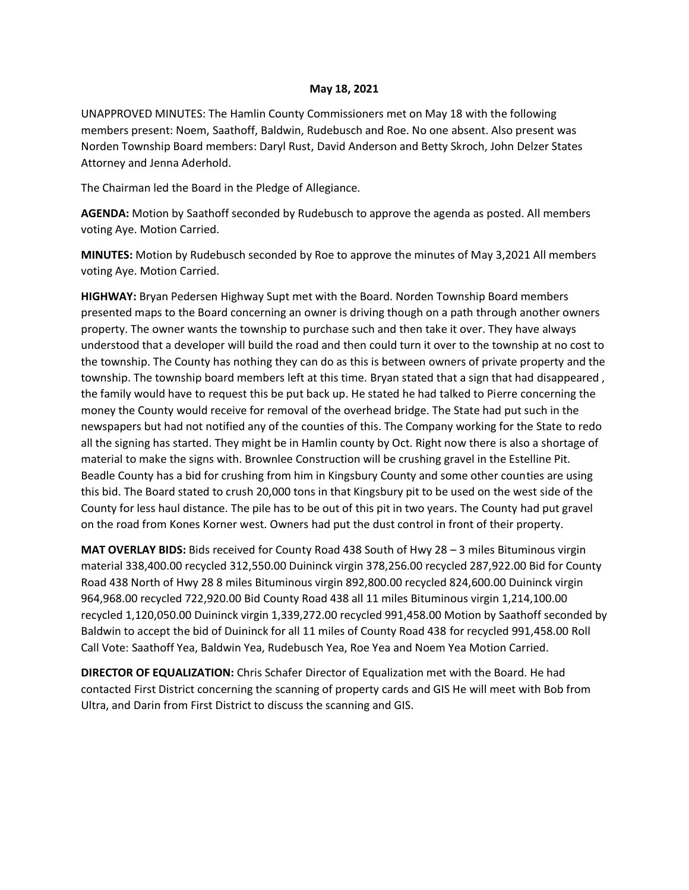## **May 18, 2021**

UNAPPROVED MINUTES: The Hamlin County Commissioners met on May 18 with the following members present: Noem, Saathoff, Baldwin, Rudebusch and Roe. No one absent. Also present was Norden Township Board members: Daryl Rust, David Anderson and Betty Skroch, John Delzer States Attorney and Jenna Aderhold.

The Chairman led the Board in the Pledge of Allegiance.

**AGENDA:** Motion by Saathoff seconded by Rudebusch to approve the agenda as posted. All members voting Aye. Motion Carried.

**MINUTES:** Motion by Rudebusch seconded by Roe to approve the minutes of May 3,2021 All members voting Aye. Motion Carried.

**HIGHWAY:** Bryan Pedersen Highway Supt met with the Board. Norden Township Board members presented maps to the Board concerning an owner is driving though on a path through another owners property. The owner wants the township to purchase such and then take it over. They have always understood that a developer will build the road and then could turn it over to the township at no cost to the township. The County has nothing they can do as this is between owners of private property and the township. The township board members left at this time. Bryan stated that a sign that had disappeared , the family would have to request this be put back up. He stated he had talked to Pierre concerning the money the County would receive for removal of the overhead bridge. The State had put such in the newspapers but had not notified any of the counties of this. The Company working for the State to redo all the signing has started. They might be in Hamlin county by Oct. Right now there is also a shortage of material to make the signs with. Brownlee Construction will be crushing gravel in the Estelline Pit. Beadle County has a bid for crushing from him in Kingsbury County and some other counties are using this bid. The Board stated to crush 20,000 tons in that Kingsbury pit to be used on the west side of the County for less haul distance. The pile has to be out of this pit in two years. The County had put gravel on the road from Kones Korner west. Owners had put the dust control in front of their property.

**MAT OVERLAY BIDS:** Bids received for County Road 438 South of Hwy 28 – 3 miles Bituminous virgin material 338,400.00 recycled 312,550.00 Duininck virgin 378,256.00 recycled 287,922.00 Bid for County Road 438 North of Hwy 28 8 miles Bituminous virgin 892,800.00 recycled 824,600.00 Duininck virgin 964,968.00 recycled 722,920.00 Bid County Road 438 all 11 miles Bituminous virgin 1,214,100.00 recycled 1,120,050.00 Duininck virgin 1,339,272.00 recycled 991,458.00 Motion by Saathoff seconded by Baldwin to accept the bid of Duininck for all 11 miles of County Road 438 for recycled 991,458.00 Roll Call Vote: Saathoff Yea, Baldwin Yea, Rudebusch Yea, Roe Yea and Noem Yea Motion Carried.

**DIRECTOR OF EQUALIZATION:** Chris Schafer Director of Equalization met with the Board. He had contacted First District concerning the scanning of property cards and GIS He will meet with Bob from Ultra, and Darin from First District to discuss the scanning and GIS.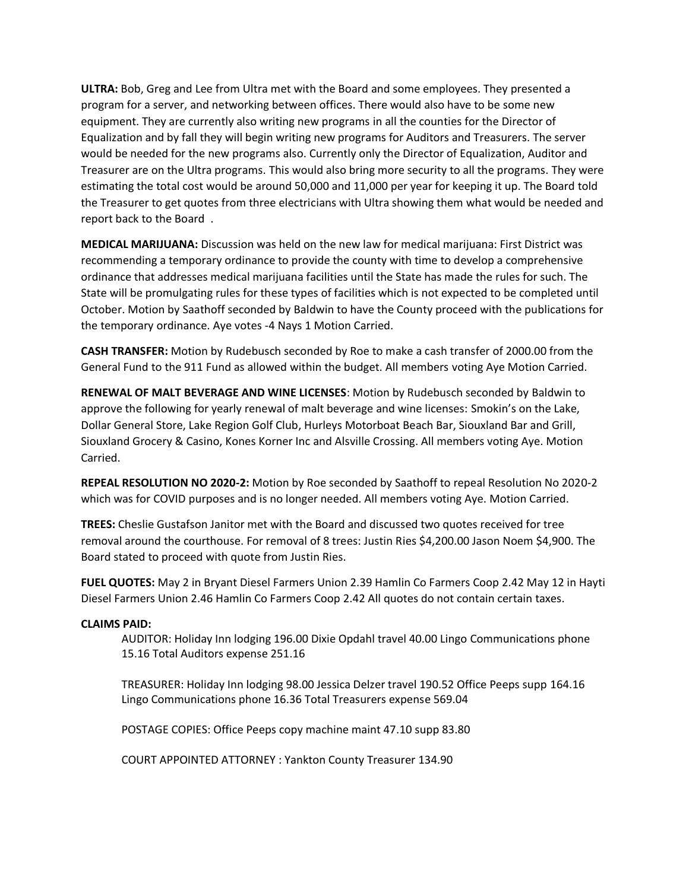**ULTRA:** Bob, Greg and Lee from Ultra met with the Board and some employees. They presented a program for a server, and networking between offices. There would also have to be some new equipment. They are currently also writing new programs in all the counties for the Director of Equalization and by fall they will begin writing new programs for Auditors and Treasurers. The server would be needed for the new programs also. Currently only the Director of Equalization, Auditor and Treasurer are on the Ultra programs. This would also bring more security to all the programs. They were estimating the total cost would be around 50,000 and 11,000 per year for keeping it up. The Board told the Treasurer to get quotes from three electricians with Ultra showing them what would be needed and report back to the Board .

**MEDICAL MARIJUANA:** Discussion was held on the new law for medical marijuana: First District was recommending a temporary ordinance to provide the county with time to develop a comprehensive ordinance that addresses medical marijuana facilities until the State has made the rules for such. The State will be promulgating rules for these types of facilities which is not expected to be completed until October. Motion by Saathoff seconded by Baldwin to have the County proceed with the publications for the temporary ordinance. Aye votes -4 Nays 1 Motion Carried.

**CASH TRANSFER:** Motion by Rudebusch seconded by Roe to make a cash transfer of 2000.00 from the General Fund to the 911 Fund as allowed within the budget. All members voting Aye Motion Carried.

**RENEWAL OF MALT BEVERAGE AND WINE LICENSES**: Motion by Rudebusch seconded by Baldwin to approve the following for yearly renewal of malt beverage and wine licenses: Smokin's on the Lake, Dollar General Store, Lake Region Golf Club, Hurleys Motorboat Beach Bar, Siouxland Bar and Grill, Siouxland Grocery & Casino, Kones Korner Inc and Alsville Crossing. All members voting Aye. Motion Carried.

**REPEAL RESOLUTION NO 2020-2:** Motion by Roe seconded by Saathoff to repeal Resolution No 2020-2 which was for COVID purposes and is no longer needed. All members voting Aye. Motion Carried.

**TREES:** Cheslie Gustafson Janitor met with the Board and discussed two quotes received for tree removal around the courthouse. For removal of 8 trees: Justin Ries \$4,200.00 Jason Noem \$4,900. The Board stated to proceed with quote from Justin Ries.

**FUEL QUOTES:** May 2 in Bryant Diesel Farmers Union 2.39 Hamlin Co Farmers Coop 2.42 May 12 in Hayti Diesel Farmers Union 2.46 Hamlin Co Farmers Coop 2.42 All quotes do not contain certain taxes.

## **CLAIMS PAID:**

AUDITOR: Holiday Inn lodging 196.00 Dixie Opdahl travel 40.00 Lingo Communications phone 15.16 Total Auditors expense 251.16

TREASURER: Holiday Inn lodging 98.00 Jessica Delzer travel 190.52 Office Peeps supp 164.16 Lingo Communications phone 16.36 Total Treasurers expense 569.04

POSTAGE COPIES: Office Peeps copy machine maint 47.10 supp 83.80

COURT APPOINTED ATTORNEY : Yankton County Treasurer 134.90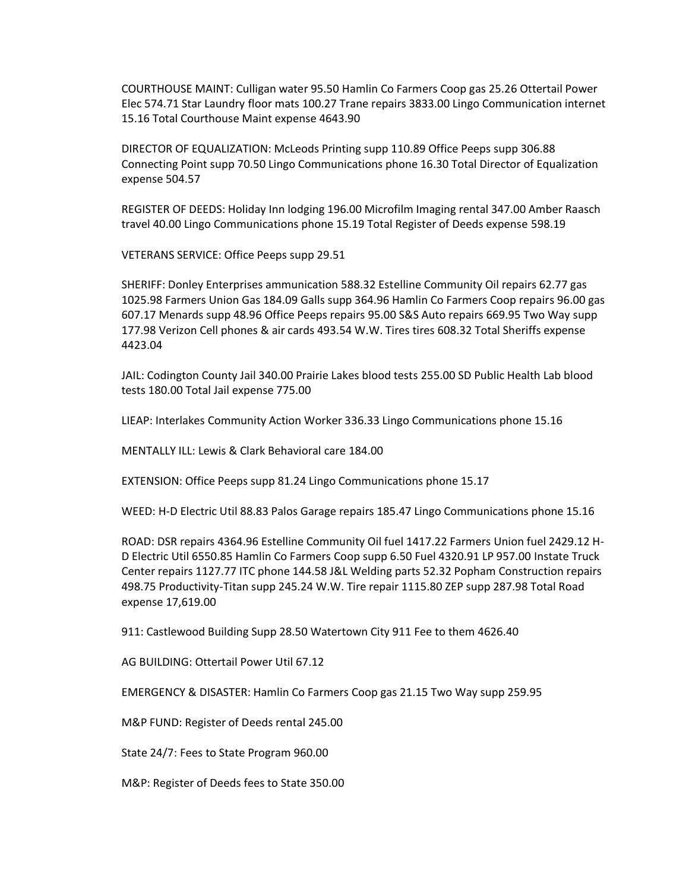COURTHOUSE MAINT: Culligan water 95.50 Hamlin Co Farmers Coop gas 25.26 Ottertail Power Elec 574.71 Star Laundry floor mats 100.27 Trane repairs 3833.00 Lingo Communication internet 15.16 Total Courthouse Maint expense 4643.90

DIRECTOR OF EQUALIZATION: McLeods Printing supp 110.89 Office Peeps supp 306.88 Connecting Point supp 70.50 Lingo Communications phone 16.30 Total Director of Equalization expense 504.57

REGISTER OF DEEDS: Holiday Inn lodging 196.00 Microfilm Imaging rental 347.00 Amber Raasch travel 40.00 Lingo Communications phone 15.19 Total Register of Deeds expense 598.19

VETERANS SERVICE: Office Peeps supp 29.51

SHERIFF: Donley Enterprises ammunication 588.32 Estelline Community Oil repairs 62.77 gas 1025.98 Farmers Union Gas 184.09 Galls supp 364.96 Hamlin Co Farmers Coop repairs 96.00 gas 607.17 Menards supp 48.96 Office Peeps repairs 95.00 S&S Auto repairs 669.95 Two Way supp 177.98 Verizon Cell phones & air cards 493.54 W.W. Tires tires 608.32 Total Sheriffs expense 4423.04

JAIL: Codington County Jail 340.00 Prairie Lakes blood tests 255.00 SD Public Health Lab blood tests 180.00 Total Jail expense 775.00

LIEAP: Interlakes Community Action Worker 336.33 Lingo Communications phone 15.16

MENTALLY ILL: Lewis & Clark Behavioral care 184.00

EXTENSION: Office Peeps supp 81.24 Lingo Communications phone 15.17

WEED: H-D Electric Util 88.83 Palos Garage repairs 185.47 Lingo Communications phone 15.16

ROAD: DSR repairs 4364.96 Estelline Community Oil fuel 1417.22 Farmers Union fuel 2429.12 H-D Electric Util 6550.85 Hamlin Co Farmers Coop supp 6.50 Fuel 4320.91 LP 957.00 Instate Truck Center repairs 1127.77 ITC phone 144.58 J&L Welding parts 52.32 Popham Construction repairs 498.75 Productivity-Titan supp 245.24 W.W. Tire repair 1115.80 ZEP supp 287.98 Total Road expense 17,619.00

911: Castlewood Building Supp 28.50 Watertown City 911 Fee to them 4626.40

AG BUILDING: Ottertail Power Util 67.12

EMERGENCY & DISASTER: Hamlin Co Farmers Coop gas 21.15 Two Way supp 259.95

M&P FUND: Register of Deeds rental 245.00

State 24/7: Fees to State Program 960.00

M&P: Register of Deeds fees to State 350.00